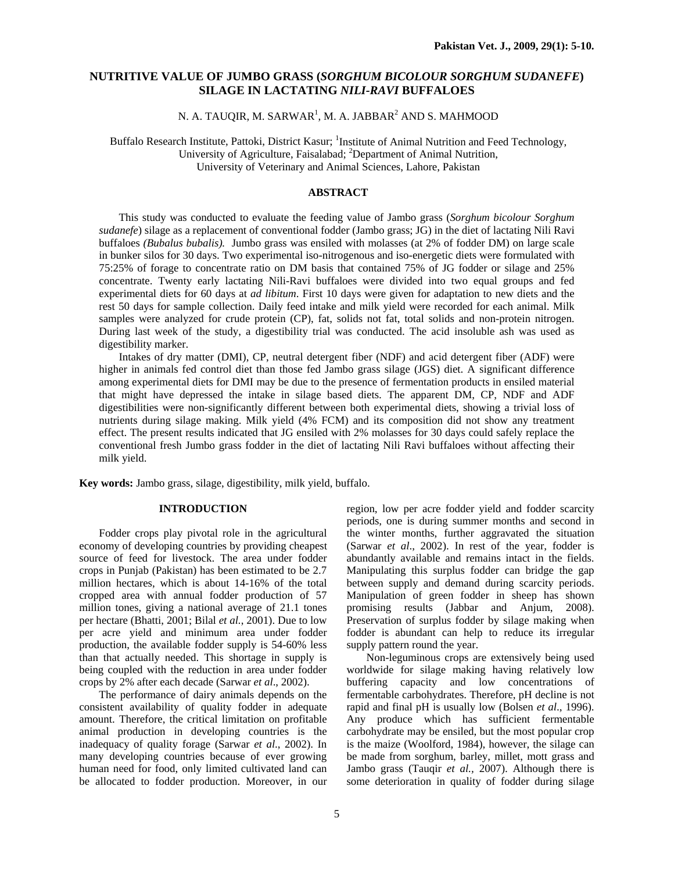# **NUTRITIVE VALUE OF JUMBO GRASS (***SORGHUM BICOLOUR SORGHUM SUDANEFE***) SILAGE IN LACTATING** *NILI-RAVI* **BUFFALOES**

# N. A. TAUQIR, M. SARWAR $^{\rm l}$ , M. A. JABBAR $^{\rm 2}$  AND S. MAHMOOD

Buffalo Research Institute, Pattoki, District Kasur; <sup>1</sup>Institute of Animal Nutrition and Feed Technology, University of Agriculture, Faisalabad; <sup>2</sup>Department of Animal Nutrition, University of Veterinary and Animal Sciences, Lahore, Pakistan

### **ABSTRACT**

This study was conducted to evaluate the feeding value of Jambo grass (*Sorghum bicolour Sorghum sudanefe*) silage as a replacement of conventional fodder (Jambo grass; JG) in the diet of lactating Nili Ravi buffaloes *(Bubalus bubalis).* Jumbo grass was ensiled with molasses (at 2% of fodder DM) on large scale in bunker silos for 30 days. Two experimental iso-nitrogenous and iso-energetic diets were formulated with 75:25% of forage to concentrate ratio on DM basis that contained 75% of JG fodder or silage and 25% concentrate. Twenty early lactating Nili-Ravi buffaloes were divided into two equal groups and fed experimental diets for 60 days at *ad libitum*. First 10 days were given for adaptation to new diets and the rest 50 days for sample collection. Daily feed intake and milk yield were recorded for each animal. Milk samples were analyzed for crude protein (CP), fat, solids not fat, total solids and non-protein nitrogen. During last week of the study, a digestibility trial was conducted. The acid insoluble ash was used as digestibility marker.

 Intakes of dry matter (DMI), CP, neutral detergent fiber (NDF) and acid detergent fiber (ADF) were higher in animals fed control diet than those fed Jambo grass silage (JGS) diet. A significant difference among experimental diets for DMI may be due to the presence of fermentation products in ensiled material that might have depressed the intake in silage based diets. The apparent DM, CP, NDF and ADF digestibilities were non-significantly different between both experimental diets, showing a trivial loss of nutrients during silage making. Milk yield (4% FCM) and its composition did not show any treatment effect. The present results indicated that JG ensiled with 2% molasses for 30 days could safely replace the conventional fresh Jumbo grass fodder in the diet of lactating Nili Ravi buffaloes without affecting their milk yield.

**Key words:** Jambo grass, silage, digestibility, milk yield, buffalo.

## **INTRODUCTION**

Fodder crops play pivotal role in the agricultural economy of developing countries by providing cheapest source of feed for livestock. The area under fodder crops in Punjab (Pakistan) has been estimated to be 2.7 million hectares, which is about 14-16% of the total cropped area with annual fodder production of 57 million tones, giving a national average of 21.1 tones per hectare (Bhatti, 2001; Bilal *et al.*, 2001). Due to low per acre yield and minimum area under fodder production, the available fodder supply is 54-60% less than that actually needed. This shortage in supply is being coupled with the reduction in area under fodder crops by 2% after each decade (Sarwar *et al*., 2002).

The performance of dairy animals depends on the consistent availability of quality fodder in adequate amount. Therefore, the critical limitation on profitable animal production in developing countries is the inadequacy of quality forage (Sarwar *et al*., 2002). In many developing countries because of ever growing human need for food, only limited cultivated land can be allocated to fodder production. Moreover, in our region, low per acre fodder yield and fodder scarcity periods, one is during summer months and second in the winter months, further aggravated the situation (Sarwar *et al*., 2002). In rest of the year, fodder is abundantly available and remains intact in the fields. Manipulating this surplus fodder can bridge the gap between supply and demand during scarcity periods. Manipulation of green fodder in sheep has shown promising results (Jabbar and Anjum, 2008). Preservation of surplus fodder by silage making when fodder is abundant can help to reduce its irregular supply pattern round the year.

Non-leguminous crops are extensively being used worldwide for silage making having relatively low buffering capacity and low concentrations of fermentable carbohydrates. Therefore, pH decline is not rapid and final pH is usually low (Bolsen *et al*., 1996). Any produce which has sufficient fermentable carbohydrate may be ensiled, but the most popular crop is the maize (Woolford, 1984), however, the silage can be made from sorghum, barley, millet, mott grass and Jambo grass (Tauqir *et al.,* 2007). Although there is some deterioration in quality of fodder during silage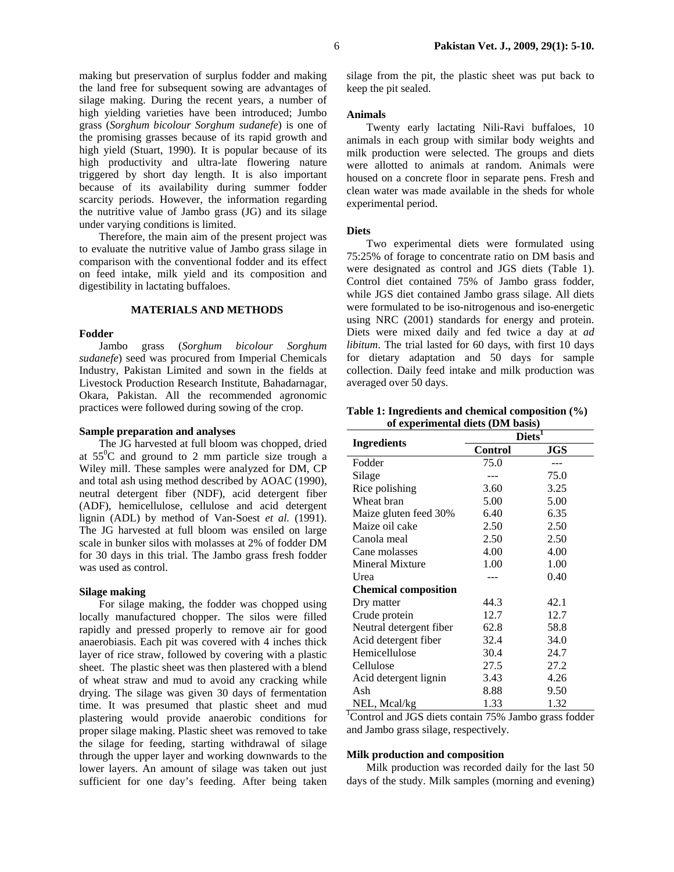making but preservation of surplus fodder and making the land free for subsequent sowing are advantages of silage making. During the recent years, a number of high yielding varieties have been introduced; Jumbo grass (*Sorghum bicolour Sorghum sudanefe*) is one of the promising grasses because of its rapid growth and high yield (Stuart, 1990). It is popular because of its high productivity and ultra-late flowering nature triggered by short day length. It is also important because of its availability during summer fodder scarcity periods. However, the information regarding the nutritive value of Jambo grass (JG) and its silage under varying conditions is limited.

Therefore, the main aim of the present project was to evaluate the nutritive value of Jambo grass silage in comparison with the conventional fodder and its effect on feed intake, milk yield and its composition and digestibility in lactating buffaloes.

### **MATERIALS AND METHODS**

## **Fodder**

Jambo grass (*Sorghum bicolour Sorghum sudanefe*) seed was procured from Imperial Chemicals Industry, Pakistan Limited and sown in the fields at Livestock Production Research Institute, Bahadarnagar, Okara, Pakistan. All the recommended agronomic practices were followed during sowing of the crop.

## **Sample preparation and analyses**

The JG harvested at full bloom was chopped, dried at  $55^{\circ}$ C and ground to 2 mm particle size trough a Wiley mill. These samples were analyzed for DM, CP and total ash using method described by AOAC (1990), neutral detergent fiber (NDF), acid detergent fiber (ADF), hemicellulose, cellulose and acid detergent lignin (ADL) by method of Van-Soest *et al.* (1991). The JG harvested at full bloom was ensiled on large scale in bunker silos with molasses at 2% of fodder DM for 30 days in this trial. The Jambo grass fresh fodder was used as control.

#### **Silage making**

For silage making, the fodder was chopped using locally manufactured chopper. The silos were filled rapidly and pressed properly to remove air for good anaerobiasis. Each pit was covered with 4 inches thick layer of rice straw, followed by covering with a plastic sheet. The plastic sheet was then plastered with a blend of wheat straw and mud to avoid any cracking while drying. The silage was given 30 days of fermentation time. It was presumed that plastic sheet and mud plastering would provide anaerobic conditions for proper silage making. Plastic sheet was removed to take the silage for feeding, starting withdrawal of silage through the upper layer and working downwards to the lower layers. An amount of silage was taken out just sufficient for one day's feeding. After being taken

silage from the pit, the plastic sheet was put back to keep the pit sealed.

### **Animals**

Twenty early lactating Nili-Ravi buffaloes, 10 animals in each group with similar body weights and milk production were selected. The groups and diets were allotted to animals at random. Animals were housed on a concrete floor in separate pens. Fresh and clean water was made available in the sheds for whole experimental period.

#### **Diets**

Two experimental diets were formulated using 75:25% of forage to concentrate ratio on DM basis and were designated as control and JGS diets (Table 1). Control diet contained 75% of Jambo grass fodder, while JGS diet contained Jambo grass silage. All diets were formulated to be iso-nitrogenous and iso-energetic using NRC (2001) standards for energy and protein. Diets were mixed daily and fed twice a day at *ad libitum*. The trial lasted for 60 days, with first 10 days for dietary adaptation and 50 days for sample collection. Daily feed intake and milk production was averaged over 50 days.

**Table 1: Ingredients and chemical composition (%) of experimental diets (DM basis)** 

|                             | $\mathbf{Diets}^{\overline{1}}$ |            |  |
|-----------------------------|---------------------------------|------------|--|
| Ingredients                 | <b>Control</b>                  | <b>JGS</b> |  |
| Fodder                      | 75.0                            |            |  |
| Silage                      |                                 | 75.0       |  |
| Rice polishing              | 3.60                            | 3.25       |  |
| Wheat bran                  | 5.00                            | 5.00       |  |
| Maize gluten feed 30%       | 6.40                            | 6.35       |  |
| Maize oil cake              | 2.50                            | 2.50       |  |
| Canola meal                 | 2.50                            | 2.50       |  |
| Cane molasses               | 4.00                            | 4.00       |  |
| Mineral Mixture             | 1.00                            | 1.00       |  |
| Urea                        |                                 | 0.40       |  |
| <b>Chemical composition</b> |                                 |            |  |
| Dry matter                  | 44.3                            | 42.1       |  |
| Crude protein               | 12.7                            | 12.7       |  |
| Neutral detergent fiber     | 62.8                            | 58.8       |  |
| Acid detergent fiber        | 32.4                            | 34.0       |  |
| Hemicellulose               | 30.4                            | 24.7       |  |
| Cellulose                   | 27.5                            | 27.2       |  |
| Acid detergent lignin       | 3.43                            | 4.26       |  |
| Ash                         | 8.88                            | 9.50       |  |
| NEL, Mcal/kg                | 1.33                            | 1.32       |  |

<sup>1</sup>Control and JGS diets contain 75% Jambo grass fodder and Jambo grass silage, respectively.

#### **Milk production and composition**

Milk production was recorded daily for the last 50 days of the study. Milk samples (morning and evening)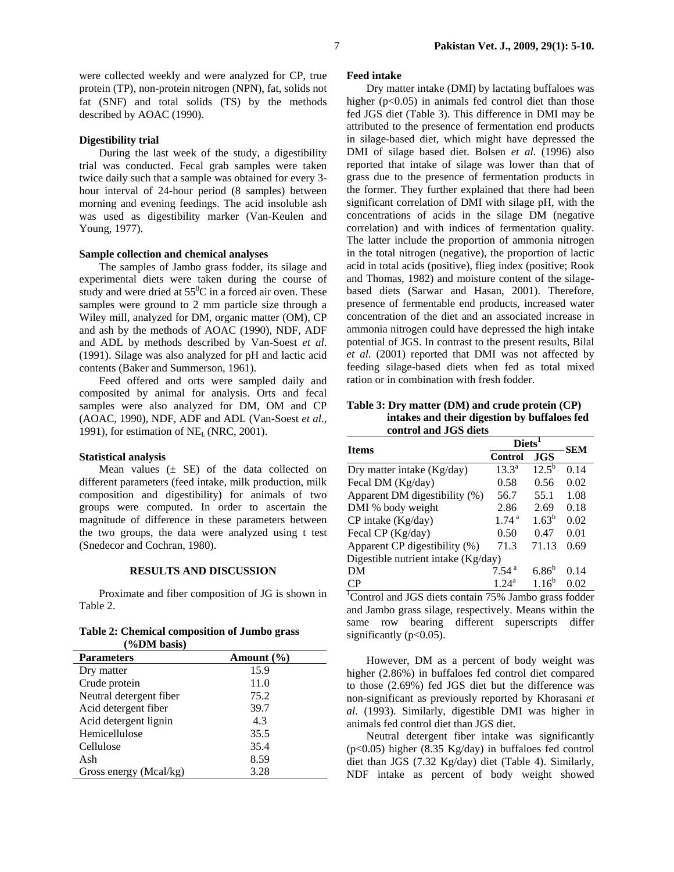were collected weekly and were analyzed for CP, true protein (TP), non-protein nitrogen (NPN), fat, solids not fat (SNF) and total solids (TS) by the methods described by AOAC (1990).

# **Digestibility trial**

During the last week of the study, a digestibility trial was conducted. Fecal grab samples were taken twice daily such that a sample was obtained for every 3 hour interval of 24-hour period (8 samples) between morning and evening feedings. The acid insoluble ash was used as digestibility marker (Van-Keulen and Young, 1977).

# **Sample collection and chemical analyses**

The samples of Jambo grass fodder, its silage and experimental diets were taken during the course of study and were dried at  $55^{\circ}$ C in a forced air oven. These samples were ground to 2 mm particle size through a Wiley mill, analyzed for DM, organic matter (OM), CP and ash by the methods of AOAC (1990), NDF, ADF and ADL by methods described by Van-Soest *et al*. (1991). Silage was also analyzed for pH and lactic acid contents (Baker and Summerson, 1961).

Feed offered and orts were sampled daily and composited by animal for analysis. Orts and fecal samples were also analyzed for DM, OM and CP (AOAC, 1990), NDF, ADF and ADL (Van-Soest *et al*., 1991), for estimation of  $NE<sub>L</sub>$  (NRC, 2001).

## **Statistical analysis**

Mean values  $(\pm$  SE) of the data collected on different parameters (feed intake, milk production, milk composition and digestibility) for animals of two groups were computed. In order to ascertain the magnitude of difference in these parameters between the two groups, the data were analyzed using t test (Snedecor and Cochran, 1980).

# **RESULTS AND DISCUSSION**

Proximate and fiber composition of JG is shown in Table 2.

**Table 2: Chemical composition of Jumbo grass** 

| (%DM basis)             |                |
|-------------------------|----------------|
| <b>Parameters</b>       | Amount $(\% )$ |
| Dry matter              | 15.9           |
| Crude protein           | 11.0           |
| Neutral detergent fiber | 75.2           |
| Acid detergent fiber    | 39.7           |
| Acid detergent lignin   | 4.3            |
| Hemicellulose           | 35.5           |
| Cellulose               | 35.4           |
| Ash                     | 8.59           |
| Gross energy (Mcal/kg)  | 3.28           |

## **Feed intake**

Dry matter intake (DMI) by lactating buffaloes was higher  $(p<0.05)$  in animals fed control diet than those fed JGS diet (Table 3). This difference in DMI may be attributed to the presence of fermentation end products in silage-based diet, which might have depressed the DMI of silage based diet. Bolsen *et al*. (1996) also reported that intake of silage was lower than that of grass due to the presence of fermentation products in the former. They further explained that there had been significant correlation of DMI with silage pH, with the concentrations of acids in the silage DM (negative correlation) and with indices of fermentation quality. The latter include the proportion of ammonia nitrogen in the total nitrogen (negative), the proportion of lactic acid in total acids (positive), flieg index (positive; Rook and Thomas, 1982) and moisture content of the silagebased diets (Sarwar and Hasan, 2001). Therefore, presence of fermentable end products, increased water concentration of the diet and an associated increase in ammonia nitrogen could have depressed the high intake potential of JGS. In contrast to the present results, Bilal *et al*. (2001) reported that DMI was not affected by feeding silage-based diets when fed as total mixed ration or in combination with fresh fodder.

**Table 3: Dry matter (DM) and crude protein (CP) intakes and their digestion by buffaloes fed control and JGS diets** 

| <b>Items</b>                        | <b>Diets</b>      |                   | <b>SEM</b> |
|-------------------------------------|-------------------|-------------------|------------|
|                                     | Control           | <b>JGS</b>        |            |
| Dry matter intake (Kg/day)          | $13.3^{\circ}$    | $12.5^{b}$        | 0.14       |
| Fecal DM (Kg/day)                   | 0.58              | 0.56              | 0.02       |
| Apparent DM digestibility (%)       | 56.7              | 55.1              | 1.08       |
| DMI % body weight                   | 2.86              | 2.69              | 0.18       |
| CP intake (Kg/day)                  | 1.74 <sup>a</sup> | $1.63^b$          | 0.02       |
| Fecal CP (Kg/day)                   | 0.50              | 0.47              | 0.01       |
| Apparent CP digestibility (%)       | 71.3              | 71.13             | 0.69       |
| Digestible nutrient intake (Kg/day) |                   |                   |            |
| DM                                  | 7.54 <sup>a</sup> | 6.86 <sup>b</sup> | 0.14       |
| CP                                  | $1.24^{\rm a}$    | $1.16^{b}$        | 0.02       |

 $\frac{1.24^a}{\text{Control and JGS}} \frac{1.24^a}{\text{Uoff}} \frac{1.16^b}{\text{O}} \frac{0.02}{\text{O}}$ and Jambo grass silage, respectively. Means within the same row bearing different superscripts differ significantly (p<0.05).

However, DM as a percent of body weight was higher (2.86%) in buffaloes fed control diet compared to those (2.69%) fed JGS diet but the difference was non-significant as previously reported by Khorasani *et al*. (1993). Similarly, digestible DMI was higher in animals fed control diet than JGS diet.

Neutral detergent fiber intake was significantly (p<0.05) higher (8.35 Kg/day) in buffaloes fed control diet than JGS (7.32 Kg/day) diet (Table 4). Similarly, NDF intake as percent of body weight showed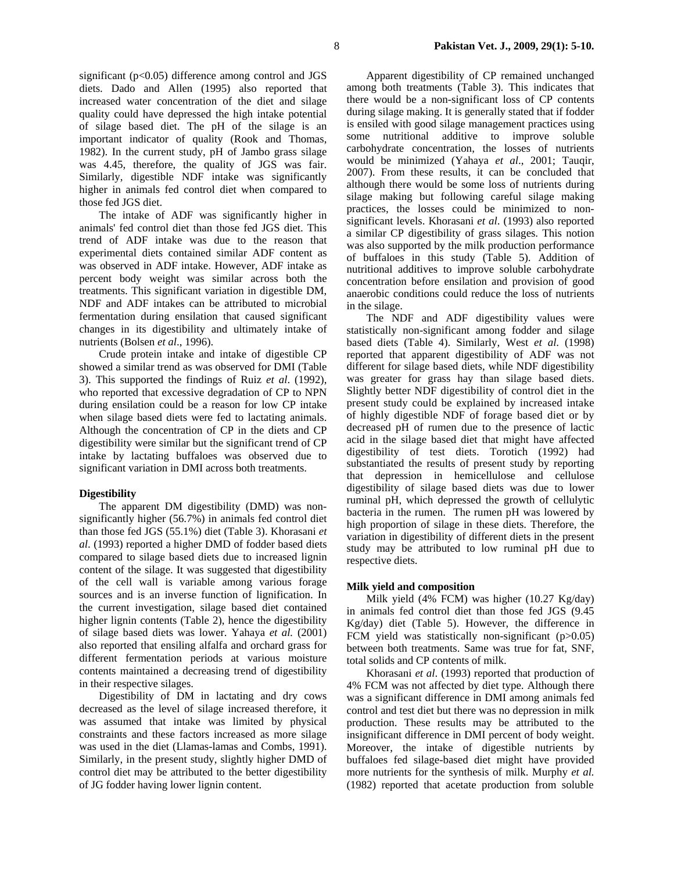significant (p<0.05) difference among control and JGS diets. Dado and Allen (1995) also reported that increased water concentration of the diet and silage quality could have depressed the high intake potential of silage based diet. The pH of the silage is an important indicator of quality (Rook and Thomas, 1982). In the current study, pH of Jambo grass silage was 4.45, therefore, the quality of JGS was fair. Similarly, digestible NDF intake was significantly higher in animals fed control diet when compared to those fed JGS diet.

The intake of ADF was significantly higher in animals' fed control diet than those fed JGS diet. This trend of ADF intake was due to the reason that experimental diets contained similar ADF content as was observed in ADF intake. However, ADF intake as percent body weight was similar across both the treatments. This significant variation in digestible DM, NDF and ADF intakes can be attributed to microbial fermentation during ensilation that caused significant changes in its digestibility and ultimately intake of nutrients (Bolsen *et al*., 1996).

Crude protein intake and intake of digestible CP showed a similar trend as was observed for DMI (Table 3). This supported the findings of Ruiz *et al*. (1992), who reported that excessive degradation of CP to NPN during ensilation could be a reason for low CP intake when silage based diets were fed to lactating animals. Although the concentration of CP in the diets and CP digestibility were similar but the significant trend of CP intake by lactating buffaloes was observed due to significant variation in DMI across both treatments.

## **Digestibility**

The apparent DM digestibility (DMD) was nonsignificantly higher (56.7%) in animals fed control diet than those fed JGS (55.1%) diet (Table 3). Khorasani *et al*. (1993) reported a higher DMD of fodder based diets compared to silage based diets due to increased lignin content of the silage. It was suggested that digestibility of the cell wall is variable among various forage sources and is an inverse function of lignification. In the current investigation, silage based diet contained higher lignin contents (Table 2), hence the digestibility of silage based diets was lower. Yahaya *et al.* (2001) also reported that ensiling alfalfa and orchard grass for different fermentation periods at various moisture contents maintained a decreasing trend of digestibility in their respective silages.

Digestibility of DM in lactating and dry cows decreased as the level of silage increased therefore, it was assumed that intake was limited by physical constraints and these factors increased as more silage was used in the diet (Llamas-lamas and Combs, 1991). Similarly, in the present study, slightly higher DMD of control diet may be attributed to the better digestibility of JG fodder having lower lignin content.

Apparent digestibility of CP remained unchanged among both treatments (Table 3). This indicates that there would be a non-significant loss of CP contents during silage making. It is generally stated that if fodder is ensiled with good silage management practices using some nutritional additive to improve soluble carbohydrate concentration, the losses of nutrients would be minimized (Yahaya *et al*., 2001; Tauqir, 2007). From these results, it can be concluded that although there would be some loss of nutrients during silage making but following careful silage making practices, the losses could be minimized to nonsignificant levels. Khorasani *et al*. (1993) also reported a similar CP digestibility of grass silages. This notion was also supported by the milk production performance of buffaloes in this study (Table 5). Addition of nutritional additives to improve soluble carbohydrate concentration before ensilation and provision of good anaerobic conditions could reduce the loss of nutrients in the silage.

The NDF and ADF digestibility values were statistically non-significant among fodder and silage based diets (Table 4). Similarly, West *et al*. (1998) reported that apparent digestibility of ADF was not different for silage based diets, while NDF digestibility was greater for grass hay than silage based diets. Slightly better NDF digestibility of control diet in the present study could be explained by increased intake of highly digestible NDF of forage based diet or by decreased pH of rumen due to the presence of lactic acid in the silage based diet that might have affected digestibility of test diets. Torotich (1992) had substantiated the results of present study by reporting that depression in hemicellulose and cellulose digestibility of silage based diets was due to lower ruminal pH, which depressed the growth of cellulytic bacteria in the rumen. The rumen pH was lowered by high proportion of silage in these diets. Therefore, the variation in digestibility of different diets in the present study may be attributed to low ruminal pH due to respective diets.

### **Milk yield and composition**

Milk yield (4% FCM) was higher (10.27 Kg/day) in animals fed control diet than those fed JGS (9.45 Kg/day) diet (Table 5). However, the difference in FCM yield was statistically non-significant (p>0.05) between both treatments. Same was true for fat, SNF, total solids and CP contents of milk.

Khorasani *et al*. (1993) reported that production of 4% FCM was not affected by diet type. Although there was a significant difference in DMI among animals fed control and test diet but there was no depression in milk production. These results may be attributed to the insignificant difference in DMI percent of body weight. Moreover, the intake of digestible nutrients by buffaloes fed silage-based diet might have provided more nutrients for the synthesis of milk. Murphy *et al.* (1982) reported that acetate production from soluble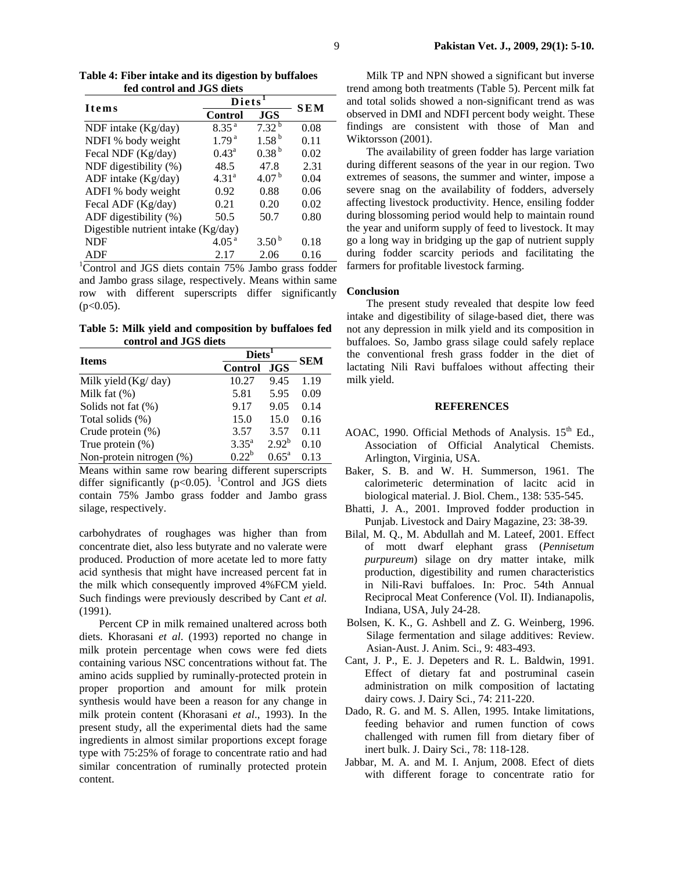| fed control and JGS diets           |                   |                    |            |  |
|-------------------------------------|-------------------|--------------------|------------|--|
| <b>Items</b>                        |                   | Diets <sup>1</sup> |            |  |
|                                     | <b>Control</b>    | <b>JGS</b>         | <b>SEM</b> |  |
| NDF intake (Kg/day)                 | 8.35 <sup>a</sup> | $7.32^{b}$         | 0.08       |  |
| NDFI % body weight                  | 1.79 <sup>a</sup> | 1.58 <sup>b</sup>  | 0.11       |  |
| Fecal NDF (Kg/day)                  | $0.43^{\rm a}$    | 0.38 <sup>b</sup>  | 0.02       |  |
| NDF digestibility (%)               | 48.5              | 47.8               | 2.31       |  |
| ADF intake (Kg/day)                 | 4.31 <sup>a</sup> | 4.07 <sup>b</sup>  | 0.04       |  |
| ADFI % body weight                  | 0.92              | 0.88               | 0.06       |  |
| Fecal ADF (Kg/day)                  | 0.21              | 0.20               | 0.02       |  |
| ADF digestibility (%)               | 50.5              | 50.7               | 0.80       |  |
| Digestible nutrient intake (Kg/day) |                   |                    |            |  |
| <b>NDF</b>                          | 4.05 <sup>a</sup> | 3.50 <sup>b</sup>  | 0.18       |  |
| ADF                                 | 2.17              | 2.06               | 0.16       |  |

**Table 4: Fiber intake and its digestion by buffaloes fed control and JGS diets** 

<sup>1</sup>Control and JGS diets contain 75% Jambo grass fodder and Jambo grass silage, respectively. Means within same row with different superscripts differ significantly  $(p<0.05)$ .

**Table 5: Milk yield and composition by buffaloes fed control and JGS diets** 

| <b>Items</b>             | Diets <sup>1</sup> |                | <b>SEM</b> |
|--------------------------|--------------------|----------------|------------|
|                          | <b>Control</b>     | <b>JGS</b>     |            |
| Milk yield $(Kg/day)$    | 10.27              | 9.45           | 1.19       |
| Milk fat $(\%)$          | 5.81               | 5.95           | 0.09       |
| Solids not fat $(\%)$    | 9.17               | 9.05           | 0.14       |
| Total solids (%)         | 15.0               | 15.0           | 0.16       |
| Crude protein (%)        | 3.57               | 3.57           | 0.11       |
| True protein $(\%)$      | $3.35^{a}$         | $2.92^{b}$     | 0.10       |
| Non-protein nitrogen (%) | $0.22^b$           | $0.65^{\rm a}$ | 0.13       |

Means within same row bearing different superscripts differ significantly ( $p<0.05$ ). <sup>1</sup>Control and JGS diets contain 75% Jambo grass fodder and Jambo grass silage, respectively.

carbohydrates of roughages was higher than from concentrate diet, also less butyrate and no valerate were produced. Production of more acetate led to more fatty acid synthesis that might have increased percent fat in the milk which consequently improved 4%FCM yield. Such findings were previously described by Cant *et al*. (1991).

Percent CP in milk remained unaltered across both diets. Khorasani *et al*. (1993) reported no change in milk protein percentage when cows were fed diets containing various NSC concentrations without fat. The amino acids supplied by ruminally-protected protein in proper proportion and amount for milk protein synthesis would have been a reason for any change in milk protein content (Khorasani *et al*., 1993). In the present study, all the experimental diets had the same ingredients in almost similar proportions except forage type with 75:25% of forage to concentrate ratio and had similar concentration of ruminally protected protein content.

Milk TP and NPN showed a significant but inverse trend among both treatments (Table 5). Percent milk fat and total solids showed a non-significant trend as was observed in DMI and NDFI percent body weight. These findings are consistent with those of Man and Wiktorsson (2001).

The availability of green fodder has large variation during different seasons of the year in our region. Two extremes of seasons, the summer and winter, impose a severe snag on the availability of fodders, adversely affecting livestock productivity. Hence, ensiling fodder during blossoming period would help to maintain round the year and uniform supply of feed to livestock. It may go a long way in bridging up the gap of nutrient supply during fodder scarcity periods and facilitating the farmers for profitable livestock farming.

# **Conclusion**

The present study revealed that despite low feed intake and digestibility of silage-based diet, there was not any depression in milk yield and its composition in buffaloes. So, Jambo grass silage could safely replace the conventional fresh grass fodder in the diet of lactating Nili Ravi buffaloes without affecting their milk yield.

### **REFERENCES**

- AOAC, 1990. Official Methods of Analysis.  $15<sup>th</sup>$  Ed., Association of Official Analytical Chemists. Arlington, Virginia, USA.
- Baker, S. B. and W. H. Summerson, 1961. The calorimeteric determination of lacitc acid in biological material. J. Biol. Chem., 138: 535-545.
- Bhatti, J. A., 2001. Improved fodder production in Punjab. Livestock and Dairy Magazine, 23: 38-39.
- Bilal, M. Q., M. Abdullah and M. Lateef, 2001. Effect of mott dwarf elephant grass (*Pennisetum purpureum*) silage on dry matter intake, milk production, digestibility and rumen characteristics in Nili-Ravi buffaloes. In: Proc. 54th Annual Reciprocal Meat Conference (Vol. II). Indianapolis, Indiana, USA, July 24-28.
- Bolsen, K. K., G. Ashbell and Z. G. Weinberg, 1996. Silage fermentation and silage additives: Review. Asian-Aust. J. Anim. Sci., 9: 483-493.
- Cant, J. P., E. J. Depeters and R. L. Baldwin, 1991. Effect of dietary fat and postruminal casein administration on milk composition of lactating dairy cows. J. Dairy Sci., 74: 211-220.
- Dado, R. G. and M. S. Allen, 1995. Intake limitations, feeding behavior and rumen function of cows challenged with rumen fill from dietary fiber of inert bulk. J. Dairy Sci., 78: 118-128.
- Jabbar, M. A. and M. I. Anjum, 2008. Efect of diets with different forage to concentrate ratio for